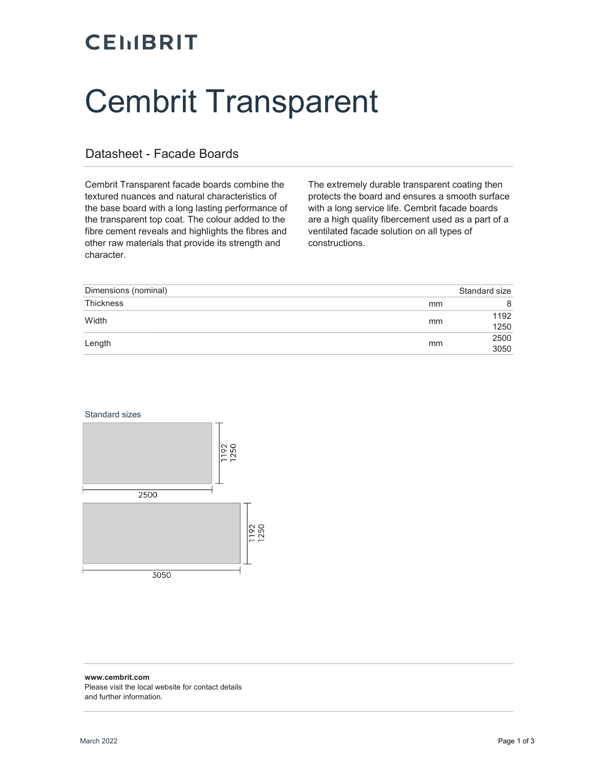### **CEMBRIT**

# Cembrit Transparent

#### Datasheet - Facade Boards

Cembrit Transparent facade boards combine the textured nuances and natural characteristics of the base board with a long lasting performance of the transparent top coat. The colour added to the fibre cement reveals and highlights the fibres and other raw materials that provide its strength and character.

The extremely durable transparent coating then protects the board and ensures a smooth surface with a long service life. Cembrit facade boards are a high quality fibercement used as a part of a ventilated facade solution on all types of constructions.

| Dimensions (nominal) |    | Standard size |
|----------------------|----|---------------|
| <b>Thickness</b>     | mm |               |
| Width                | mm | 1192<br>1250  |
| Length               | mm | 2500<br>3050  |





#### www.cembrit.com Please visit the local website for contact details and further information.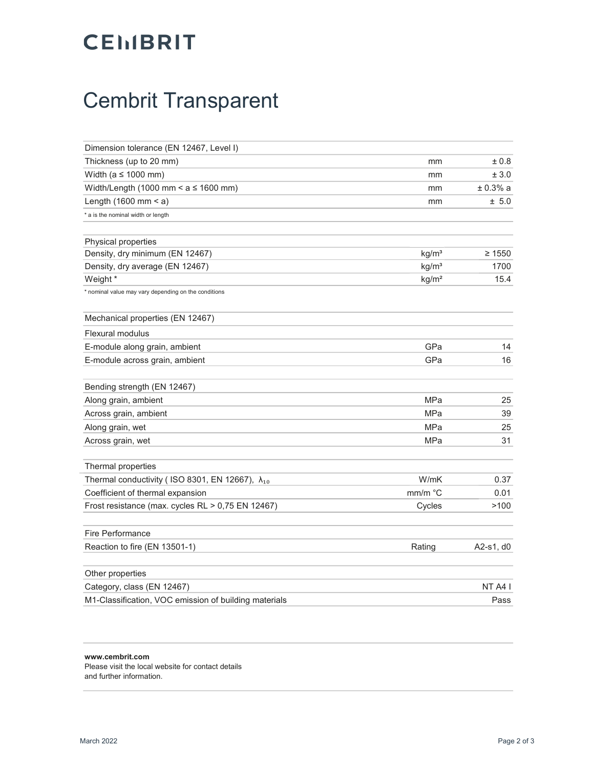#### **CEMBRIT**

## Cembrit Transparent

| Dimension tolerance (EN 12467, Level I)                    |                   |           |
|------------------------------------------------------------|-------------------|-----------|
| Thickness (up to 20 mm)                                    | mm                | ±0.8      |
| Width (a $\leq$ 1000 mm)                                   | mm                | ± 3.0     |
| Width/Length (1000 mm < $a \le 1600$ mm)                   | mm                | ± 0.3% a  |
| Length $(1600$ mm < a)                                     | mm                | ± 5.0     |
| * a is the nominal width or length                         |                   |           |
| Physical properties                                        |                   |           |
| Density, dry minimum (EN 12467)                            | $\geq 1550$       |           |
| Density, dry average (EN 12467)                            | kg/m <sup>3</sup> | 1700      |
| Weight *                                                   | kg/m <sup>2</sup> | 15.4      |
| * nominal value may vary depending on the conditions       |                   |           |
| Mechanical properties (EN 12467)                           |                   |           |
| <b>Flexural modulus</b>                                    |                   |           |
| E-module along grain, ambient                              | GPa               | 14        |
| E-module across grain, ambient                             | GPa               | 16        |
| Bending strength (EN 12467)                                |                   |           |
| Along grain, ambient                                       | <b>MPa</b>        | 25        |
| Across grain, ambient                                      | <b>MPa</b>        | 39        |
| Along grain, wet                                           | MPa               | 25        |
| Across grain, wet                                          | <b>MPa</b>        | 31        |
| Thermal properties                                         |                   |           |
| Thermal conductivity ( ISO 8301, EN 12667), $\lambda_{10}$ | W/mK              | 0.37      |
| Coefficient of thermal expansion                           | mm/m °C           | 0.01      |
| Frost resistance (max. cycles RL > 0,75 EN 12467)          | Cycles            | >100      |
| <b>Fire Performance</b>                                    |                   |           |
| Reaction to fire (EN 13501-1)                              | Rating            | A2-s1, d0 |
| Other properties                                           |                   |           |
| Category, class (EN 12467)                                 |                   | NT A4 I   |
| M1-Classification, VOC emission of building materials      |                   | Pass      |

#### www.cembrit.com

Please visit the local website for contact details and further information.